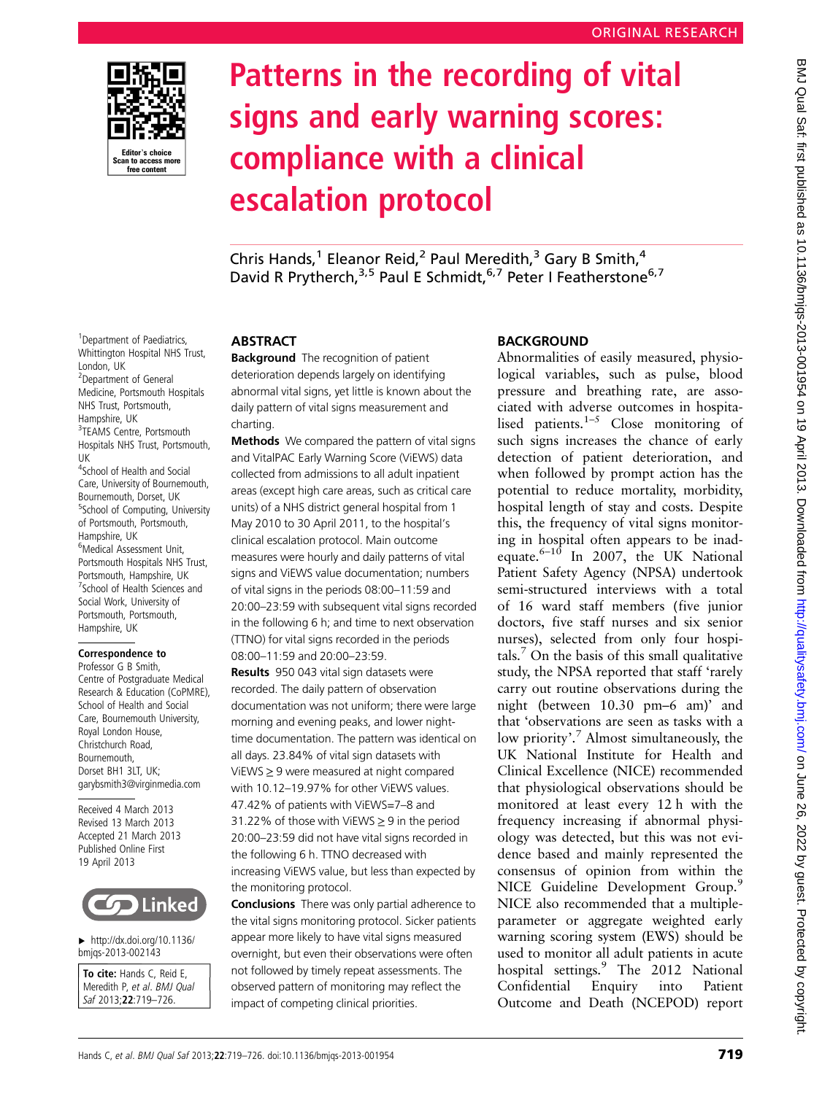

<sup>1</sup> Department of Paediatrics, Whittington Hospital NHS Trust,

<sup>2</sup>Department of General Medicine, Portsmouth Hospitals NHS Trust, Portsmouth, Hampshire, UK

<sup>3</sup>TEAMS Centre, Portsmouth Hospitals NHS Trust, Portsmouth,

<sup>4</sup>School of Health and Social Care, University of Bournemouth, Bournemouth, Dorset, UK <sup>5</sup>School of Computing, University of Portsmouth, Portsmouth,

Hampshire, UK 6 Medical Assessment Unit, Portsmouth Hospitals NHS Trust, Portsmouth, Hampshire, UK <sup>7</sup> School of Health Sciences and Social Work, University of Portsmouth, Portsmouth, Hampshire, UK

Correspondence to Professor G B Smith, Centre of Postgraduate Medical Research & Education (CoPMRE), School of Health and Social Care, Bournemouth University, Royal London House, Christchurch Road, Bournemouth, Dorset BH1 3LT, UK; garybsmith3@virginmedia.com Received 4 March 2013 Revised 13 March 2013 Accepted 21 March 2013 Published Online First 19 April 2013

▸ [http://dx.doi.org/10.1136/](http://dx.doi.org/10.1136/bmjqs-2013-002143) [bmjqs-2013-002143](http://dx.doi.org/10.1136/bmjqs-2013-002143) To cite: Hands C, Reid E, Meredith P, et al. BMJ Qual Saf 2013;22:719–726.

**Linked** 

London, UK

UK

# Patterns in the recording of vital signs and early warning scores: compliance with a clinical escalation protocol

Chris Hands,<sup>1</sup> Eleanor Reid,<sup>2</sup> Paul Meredith,<sup>3</sup> Gary B Smith,<sup>4</sup> David R Prytherch,<sup>3,5</sup> Paul E Schmidt,<sup>6,7</sup> Peter I Featherstone<sup>6,7</sup>

# **ABSTRACT**

**Background** The recognition of patient deterioration depends largely on identifying abnormal vital signs, yet little is known about the daily pattern of vital signs measurement and charting.

Methods We compared the pattern of vital signs and VitalPAC Early Warning Score (ViEWS) data collected from admissions to all adult inpatient areas (except high care areas, such as critical care units) of a NHS district general hospital from 1 May 2010 to 30 April 2011, to the hospital's clinical escalation protocol. Main outcome measures were hourly and daily patterns of vital signs and ViEWS value documentation; numbers of vital signs in the periods 08:00–11:59 and 20:00–23:59 with subsequent vital signs recorded in the following 6 h; and time to next observation (TTNO) for vital signs recorded in the periods 08:00–11:59 and 20:00–23:59.

Results 950 043 vital sign datasets were recorded. The daily pattern of observation documentation was not uniform; there were large morning and evening peaks, and lower nighttime documentation. The pattern was identical on all days. 23.84% of vital sign datasets with ViEWS ≥ 9 were measured at night compared with 10.12–19.97% for other ViEWS values. 47.42% of patients with ViEWS=7–8 and 31.22% of those with ViEWS  $\geq$  9 in the period 20:00–23:59 did not have vital signs recorded in the following 6 h. TTNO decreased with increasing ViEWS value, but less than expected by the monitoring protocol.

Conclusions There was only partial adherence to the vital signs monitoring protocol. Sicker patients appear more likely to have vital signs measured overnight, but even their observations were often not followed by timely repeat assessments. The observed pattern of monitoring may reflect the impact of competing clinical priorities.

## BACKGROUND

Abnormalities of easily measured, physiological variables, such as pulse, blood pressure and breathing rate, are associated with adverse outcomes in hospitalised patients.<sup>1–5</sup> Close monitoring of such signs increases the chance of early detection of patient deterioration, and when followed by prompt action has the potential to reduce mortality, morbidity, hospital length of stay and costs. Despite this, the frequency of vital signs monitoring in hospital often appears to be inadequate. $6-10$  In 2007, the UK National Patient Safety Agency (NPSA) undertook semi-structured interviews with a total of 16 ward staff members (five junior doctors, five staff nurses and six senior nurses), selected from only four hospitals. $\sqrt{7}$  On the basis of this small qualitative study, the NPSA reported that staff 'rarely carry out routine observations during the night (between 10.30 pm–6 am)' and that 'observations are seen as tasks with a low priority'. <sup>7</sup> Almost simultaneously, the UK National Institute for Health and Clinical Excellence (NICE) recommended that physiological observations should be monitored at least every 12 h with the frequency increasing if abnormal physiology was detected, but this was not evidence based and mainly represented the consensus of opinion from within the NICE Guideline Development Group.<sup>9</sup> NICE also recommended that a multipleparameter or aggregate weighted early warning scoring system (EWS) should be used to monitor all adult patients in acute hospital settings.<sup>9</sup> The 2012 National Confidential Enquiry into Patient Outcome and Death (NCEPOD) report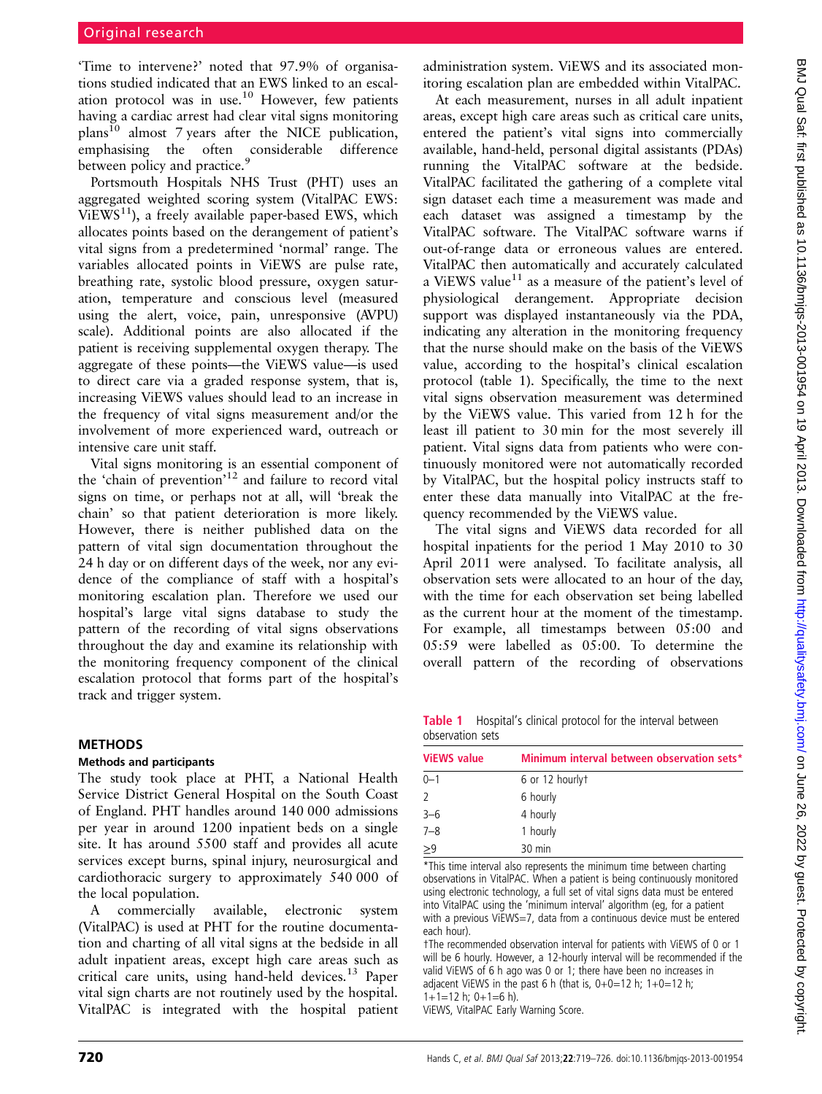'Time to intervene?' noted that 97.9% of organisations studied indicated that an EWS linked to an escalation protocol was in use.10 However, few patients having a cardiac arrest had clear vital signs monitoring  $plan<sup>10</sup>$  almost 7 years after the NICE publication, emphasising the often considerable difference between policy and practice.<sup>9</sup>

Portsmouth Hospitals NHS Trust (PHT) uses an aggregated weighted scoring system (VitalPAC EWS:  $ViEWS<sup>11</sup>$ , a freely available paper-based EWS, which allocates points based on the derangement of patient's vital signs from a predetermined 'normal' range. The variables allocated points in ViEWS are pulse rate, breathing rate, systolic blood pressure, oxygen saturation, temperature and conscious level (measured using the alert, voice, pain, unresponsive (AVPU) scale). Additional points are also allocated if the patient is receiving supplemental oxygen therapy. The aggregate of these points—the ViEWS value—is used to direct care via a graded response system, that is, increasing ViEWS values should lead to an increase in the frequency of vital signs measurement and/or the involvement of more experienced ward, outreach or intensive care unit staff.

Vital signs monitoring is an essential component of the 'chain of prevention'<sup>12</sup> and failure to record vital signs on time, or perhaps not at all, will 'break the chain' so that patient deterioration is more likely. However, there is neither published data on the pattern of vital sign documentation throughout the 24 h day or on different days of the week, nor any evidence of the compliance of staff with a hospital's monitoring escalation plan. Therefore we used our hospital's large vital signs database to study the pattern of the recording of vital signs observations throughout the day and examine its relationship with the monitoring frequency component of the clinical escalation protocol that forms part of the hospital's track and trigger system.

#### METHODS

#### Methods and participants

The study took place at PHT, a National Health Service District General Hospital on the South Coast of England. PHT handles around 140 000 admissions per year in around 1200 inpatient beds on a single site. It has around 5500 staff and provides all acute services except burns, spinal injury, neurosurgical and cardiothoracic surgery to approximately 540 000 of the local population.

A commercially available, electronic system (VitalPAC) is used at PHT for the routine documentation and charting of all vital signs at the bedside in all adult inpatient areas, except high care areas such as critical care units, using hand-held devices.<sup>13</sup> Paper vital sign charts are not routinely used by the hospital. VitalPAC is integrated with the hospital patient

administration system. ViEWS and its associated monitoring escalation plan are embedded within VitalPAC.

At each measurement, nurses in all adult inpatient areas, except high care areas such as critical care units, entered the patient's vital signs into commercially available, hand-held, personal digital assistants (PDAs) running the VitalPAC software at the bedside. VitalPAC facilitated the gathering of a complete vital sign dataset each time a measurement was made and each dataset was assigned a timestamp by the VitalPAC software. The VitalPAC software warns if out-of-range data or erroneous values are entered. VitalPAC then automatically and accurately calculated a ViEWS value<sup>11</sup> as a measure of the patient's level of physiological derangement. Appropriate decision support was displayed instantaneously via the PDA, indicating any alteration in the monitoring frequency that the nurse should make on the basis of the ViEWS value, according to the hospital's clinical escalation protocol (table 1). Specifically, the time to the next vital signs observation measurement was determined by the ViEWS value. This varied from 12 h for the least ill patient to 30 min for the most severely ill patient. Vital signs data from patients who were continuously monitored were not automatically recorded by VitalPAC, but the hospital policy instructs staff to enter these data manually into VitalPAC at the frequency recommended by the ViEWS value.

The vital signs and ViEWS data recorded for all hospital inpatients for the period 1 May 2010 to 30 April 2011 were analysed. To facilitate analysis, all observation sets were allocated to an hour of the day, with the time for each observation set being labelled as the current hour at the moment of the timestamp. For example, all timestamps between 05:00 and 05:59 were labelled as 05:00. To determine the overall pattern of the recording of observations

Table 1 Hospital's clinical protocol for the interval between observation sets

| <b>ViEWS value</b> | Minimum interval between observation sets* |  |  |  |
|--------------------|--------------------------------------------|--|--|--|
| $0 - 1$            | 6 or 12 hourlyt                            |  |  |  |
| $\overline{2}$     | 6 hourly                                   |  |  |  |
| $3 - 6$            | 4 hourly                                   |  |  |  |
| $7 - 8$            | 1 hourly                                   |  |  |  |
| $\geq 9$           | 30 min                                     |  |  |  |

\*This time interval also represents the minimum time between charting observations in VitalPAC. When a patient is being continuously monitored using electronic technology, a full set of vital signs data must be entered into VitalPAC using the 'minimum interval' algorithm (eg, for a patient with a previous ViEWS=7, data from a continuous device must be entered each hour).

†The recommended observation interval for patients with ViEWS of 0 or 1 will be 6 hourly. However, a 12-hourly interval will be recommended if the valid ViEWS of 6 h ago was 0 or 1; there have been no increases in adjacent ViEWS in the past 6 h (that is,  $0+0=12$  h;  $1+0=12$  h;  $1+1=12$  h;  $0+1=6$  h).

ViEWS, VitalPAC Early Warning Score.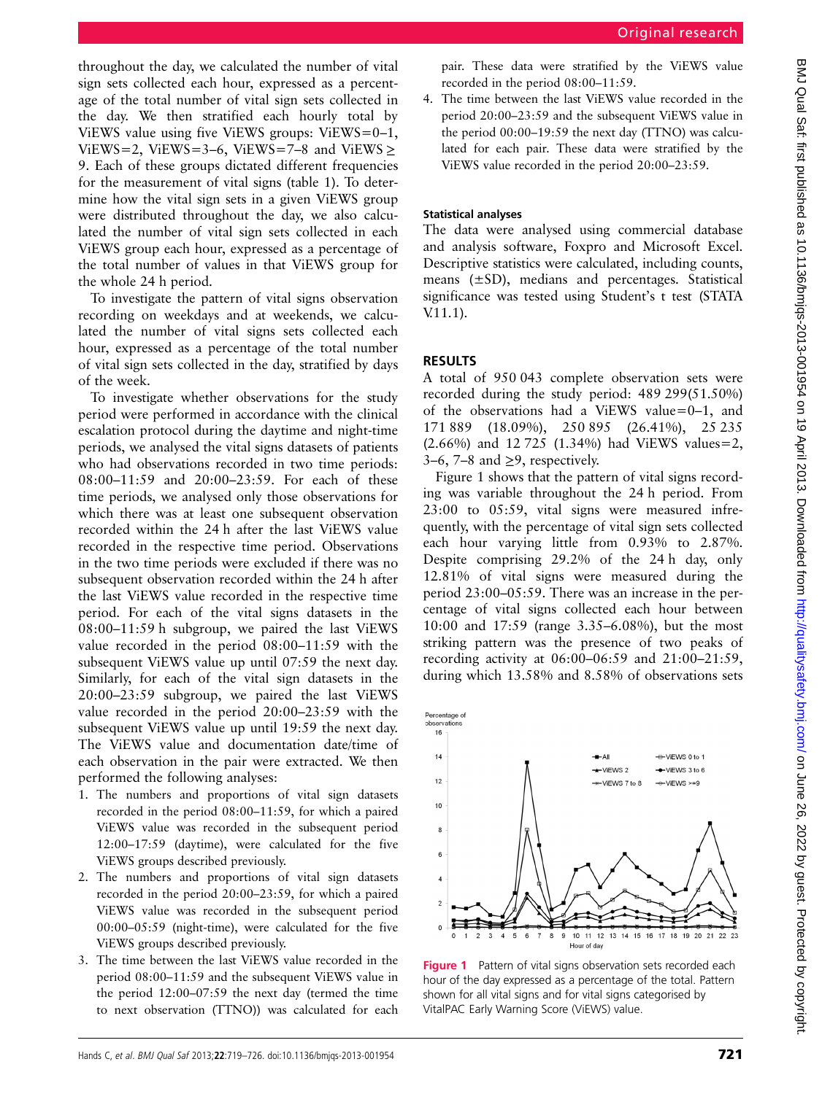throughout the day, we calculated the number of vital sign sets collected each hour, expressed as a percentage of the total number of vital sign sets collected in the day. We then stratified each hourly total by ViEWS value using five ViEWS groups: ViEWS=0–1, ViEWS=2, ViEWS=3–6, ViEWS=7–8 and ViEWS > 9. Each of these groups dictated different frequencies for the measurement of vital signs (table 1). To determine how the vital sign sets in a given ViEWS group were distributed throughout the day, we also calculated the number of vital sign sets collected in each ViEWS group each hour, expressed as a percentage of the total number of values in that ViEWS group for the whole 24 h period.

To investigate the pattern of vital signs observation recording on weekdays and at weekends, we calculated the number of vital signs sets collected each hour, expressed as a percentage of the total number of vital sign sets collected in the day, stratified by days of the week.

To investigate whether observations for the study period were performed in accordance with the clinical escalation protocol during the daytime and night-time periods, we analysed the vital signs datasets of patients who had observations recorded in two time periods: 08:00–11:59 and 20:00–23:59. For each of these time periods, we analysed only those observations for which there was at least one subsequent observation recorded within the 24 h after the last ViEWS value recorded in the respective time period. Observations in the two time periods were excluded if there was no subsequent observation recorded within the 24 h after the last ViEWS value recorded in the respective time period. For each of the vital signs datasets in the 08:00–11:59 h subgroup, we paired the last ViEWS value recorded in the period 08:00–11:59 with the subsequent ViEWS value up until 07:59 the next day. Similarly, for each of the vital sign datasets in the 20:00–23:59 subgroup, we paired the last ViEWS value recorded in the period 20:00–23:59 with the subsequent ViEWS value up until 19:59 the next day. The ViEWS value and documentation date/time of each observation in the pair were extracted. We then performed the following analyses:

- 1. The numbers and proportions of vital sign datasets recorded in the period 08:00–11:59, for which a paired ViEWS value was recorded in the subsequent period 12:00–17:59 (daytime), were calculated for the five ViEWS groups described previously.
- 2. The numbers and proportions of vital sign datasets recorded in the period 20:00–23:59, for which a paired ViEWS value was recorded in the subsequent period 00:00–05:59 (night-time), were calculated for the five ViEWS groups described previously.
- 3. The time between the last ViEWS value recorded in the period 08:00–11:59 and the subsequent ViEWS value in the period 12:00–07:59 the next day (termed the time to next observation (TTNO)) was calculated for each

pair. These data were stratified by the ViEWS value recorded in the period 08:00–11:59.

4. The time between the last ViEWS value recorded in the period 20:00–23:59 and the subsequent ViEWS value in the period 00:00–19:59 the next day (TTNO) was calculated for each pair. These data were stratified by the ViEWS value recorded in the period 20:00–23:59.

### Statistical analyses

The data were analysed using commercial database and analysis software, Foxpro and Microsoft Excel. Descriptive statistics were calculated, including counts, means (±SD), medians and percentages. Statistical significance was tested using Student's t test (STATA V.11.1).

#### RESULTS

A total of 950 043 complete observation sets were recorded during the study period: 489 299(51.50%) of the observations had a ViEWS value=0–1, and 171 889 (18.09%), 250 895 (26.41%), 25 235 (2.66%) and 12 725 (1.34%) had ViEWS values=2, 3–6, 7–8 and  $\geq$ 9, respectively.

Figure 1 shows that the pattern of vital signs recording was variable throughout the 24 h period. From 23:00 to 05:59, vital signs were measured infrequently, with the percentage of vital sign sets collected each hour varying little from 0.93% to 2.87%. Despite comprising 29.2% of the 24 h day, only 12.81% of vital signs were measured during the period 23:00–05:59. There was an increase in the percentage of vital signs collected each hour between 10:00 and 17:59 (range 3.35–6.08%), but the most striking pattern was the presence of two peaks of recording activity at 06:00–06:59 and 21:00–21:59, during which 13.58% and 8.58% of observations sets



Figure 1 Pattern of vital signs observation sets recorded each hour of the day expressed as a percentage of the total. Pattern shown for all vital signs and for vital signs categorised by VitalPAC Early Warning Score (ViEWS) value.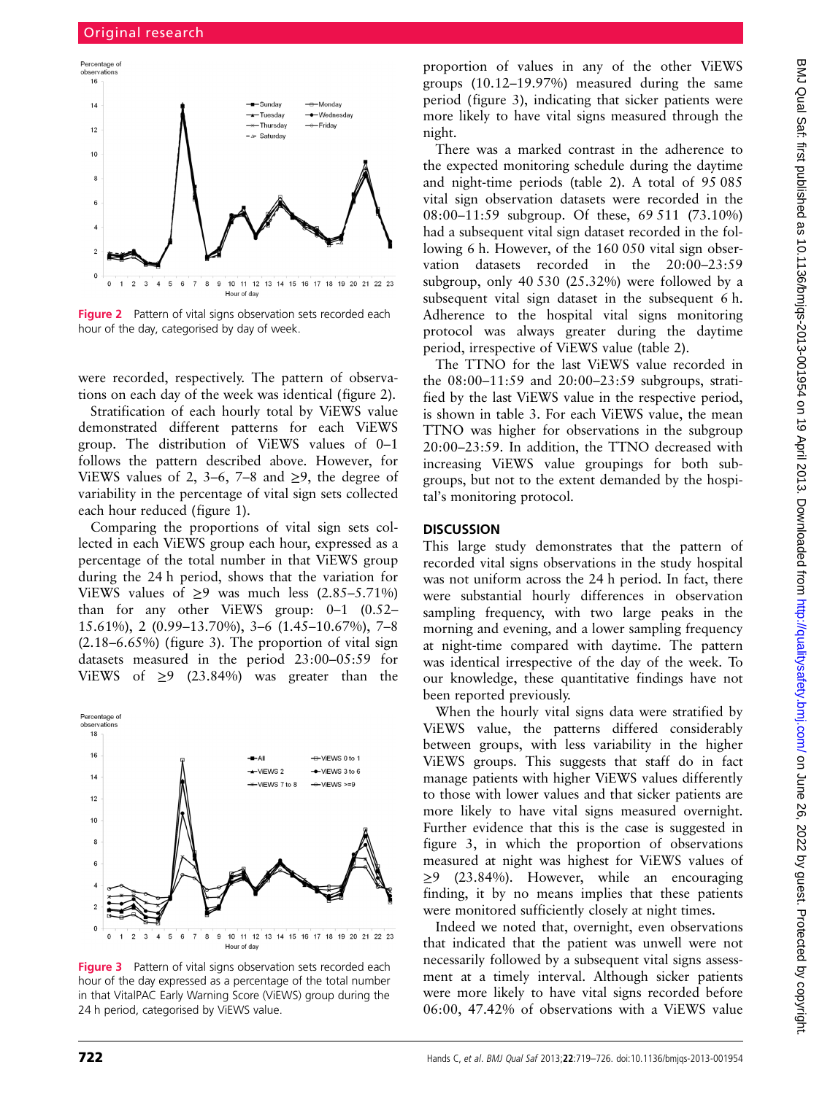

**Figure 2** Pattern of vital signs observation sets recorded each hour of the day, categorised by day of week.

were recorded, respectively. The pattern of observations on each day of the week was identical (figure 2).

Stratification of each hourly total by ViEWS value demonstrated different patterns for each ViEWS group. The distribution of ViEWS values of 0–1 follows the pattern described above. However, for ViEWS values of 2, 3–6, 7–8 and  $\geq$ 9, the degree of variability in the percentage of vital sign sets collected each hour reduced (figure 1).

Comparing the proportions of vital sign sets collected in each ViEWS group each hour, expressed as a percentage of the total number in that ViEWS group during the 24 h period, shows that the variation for ViEWS values of  $\geq$ 9 was much less (2.85–5.71%) than for any other ViEWS group: 0–1 (0.52– 15.61%), 2 (0.99–13.70%), 3–6 (1.45–10.67%), 7–8 (2.18–6.65%) (figure 3). The proportion of vital sign datasets measured in the period 23:00–05:59 for ViEWS of  $\geq$ 9 (23.84%) was greater than the



Figure 3 Pattern of vital signs observation sets recorded each hour of the day expressed as a percentage of the total number in that VitalPAC Early Warning Score (ViEWS) group during the 24 h period, categorised by ViEWS value.

proportion of values in any of the other ViEWS groups (10.12–19.97%) measured during the same period (figure 3), indicating that sicker patients were more likely to have vital signs measured through the night.

There was a marked contrast in the adherence to the expected monitoring schedule during the daytime and night-time periods (table 2). A total of 95 085 vital sign observation datasets were recorded in the 08:00–11:59 subgroup. Of these, 69 511 (73.10%) had a subsequent vital sign dataset recorded in the following 6 h. However, of the 160 050 vital sign observation datasets recorded in the 20:00–23:59 subgroup, only 40 530 (25.32%) were followed by a subsequent vital sign dataset in the subsequent 6 h. Adherence to the hospital vital signs monitoring protocol was always greater during the daytime period, irrespective of ViEWS value (table 2).

The TTNO for the last ViEWS value recorded in the 08:00–11:59 and 20:00–23:59 subgroups, stratified by the last ViEWS value in the respective period, is shown in table 3. For each ViEWS value, the mean TTNO was higher for observations in the subgroup 20:00–23:59. In addition, the TTNO decreased with increasing ViEWS value groupings for both subgroups, but not to the extent demanded by the hospital's monitoring protocol.

#### **DISCUSSION**

This large study demonstrates that the pattern of recorded vital signs observations in the study hospital was not uniform across the 24 h period. In fact, there were substantial hourly differences in observation sampling frequency, with two large peaks in the morning and evening, and a lower sampling frequency at night-time compared with daytime. The pattern was identical irrespective of the day of the week. To our knowledge, these quantitative findings have not been reported previously.

When the hourly vital signs data were stratified by ViEWS value, the patterns differed considerably between groups, with less variability in the higher ViEWS groups. This suggests that staff do in fact manage patients with higher ViEWS values differently to those with lower values and that sicker patients are more likely to have vital signs measured overnight. Further evidence that this is the case is suggested in figure 3, in which the proportion of observations measured at night was highest for ViEWS values of ≥9 (23.84%). However, while an encouraging finding, it by no means implies that these patients were monitored sufficiently closely at night times.

Indeed we noted that, overnight, even observations that indicated that the patient was unwell were not necessarily followed by a subsequent vital signs assessment at a timely interval. Although sicker patients were more likely to have vital signs recorded before 06:00, 47.42% of observations with a ViEWS value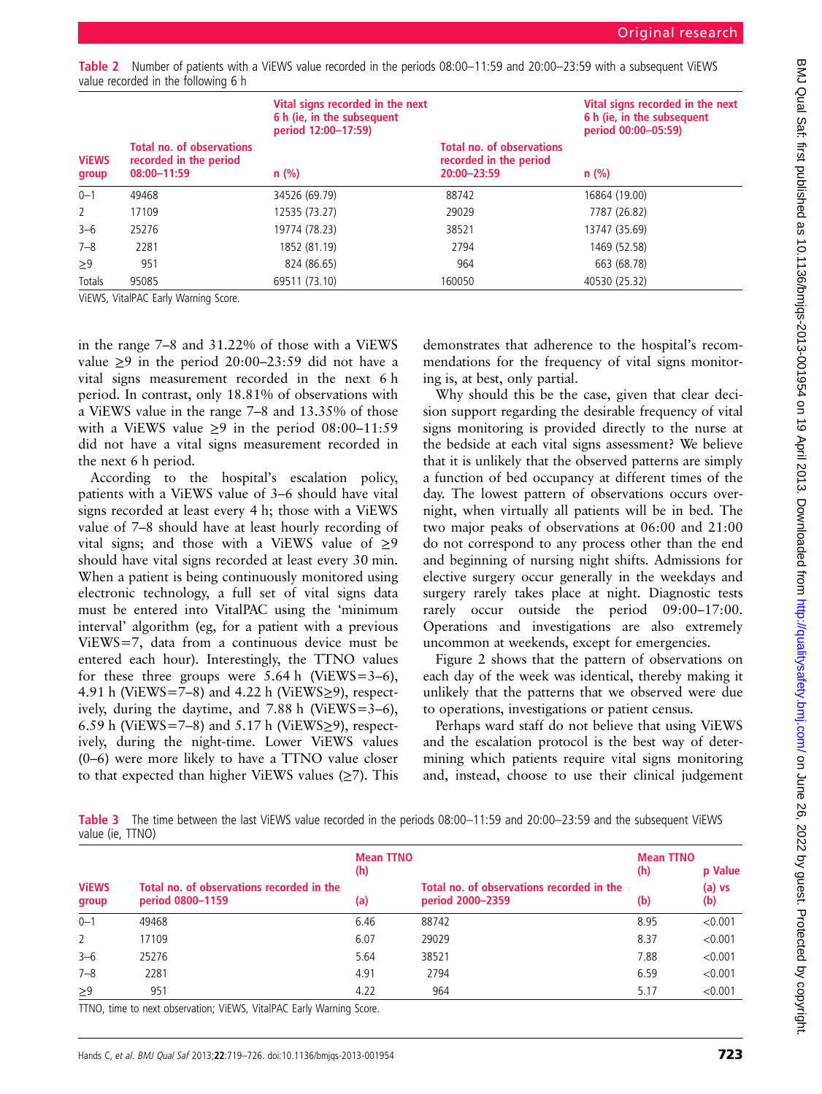| Table 2 Number of patients with a ViEWS value recorded in the periods 08:00-11:59 and 20:00-23:59 with a subsequent ViEWS |  |  |  |  |
|---------------------------------------------------------------------------------------------------------------------------|--|--|--|--|
| value recorded in the following 6 h                                                                                       |  |  |  |  |

|                       |                                                                           | Vital signs recorded in the next<br>6 h (ie, in the subsequent<br>period 12:00-17:59) |                                                                           | Vital signs recorded in the next<br>6 h (ie, in the subsequent<br>period 00:00-05:59)<br>$n$ (%) |  |
|-----------------------|---------------------------------------------------------------------------|---------------------------------------------------------------------------------------|---------------------------------------------------------------------------|--------------------------------------------------------------------------------------------------|--|
| <b>VIEWS</b><br>group | <b>Total no. of observations</b><br>recorded in the period<br>08:00-11:59 | $n$ (%)                                                                               | <b>Total no. of observations</b><br>recorded in the period<br>20:00-23:59 |                                                                                                  |  |
| $0 - 1$               | 49468                                                                     | 34526 (69.79)                                                                         | 88742                                                                     | 16864 (19.00)                                                                                    |  |
| 2                     | 17109                                                                     | 12535 (73.27)                                                                         | 29029                                                                     | 7787 (26.82)                                                                                     |  |
| $3 - 6$               | 25276                                                                     | 19774 (78.23)                                                                         | 38521                                                                     | 13747 (35.69)                                                                                    |  |
| $7 - 8$               | 2281                                                                      | 1852 (81.19)                                                                          | 2794                                                                      | 1469 (52.58)                                                                                     |  |
| $\geq 9$              | 951                                                                       | 824 (86.65)                                                                           | 964                                                                       | 663 (68.78)                                                                                      |  |
| Totals                | 95085                                                                     | 69511 (73.10)                                                                         | 160050                                                                    | 40530 (25.32)                                                                                    |  |

ViEWS, VitalPAC Early Warning Score.

in the range 7–8 and 31.22% of those with a ViEWS value ≥9 in the period 20:00–23:59 did not have a vital signs measurement recorded in the next 6 h period. In contrast, only 18.81% of observations with a ViEWS value in the range 7–8 and 13.35% of those with a ViEWS value  $\geq$ 9 in the period 08:00-11:59 did not have a vital signs measurement recorded in the next 6 h period.

According to the hospital's escalation policy, patients with a ViEWS value of 3–6 should have vital signs recorded at least every 4 h; those with a ViEWS value of 7–8 should have at least hourly recording of vital signs; and those with a ViEWS value of  $\geq$ 9 should have vital signs recorded at least every 30 min. When a patient is being continuously monitored using electronic technology, a full set of vital signs data must be entered into VitalPAC using the 'minimum interval' algorithm (eg, for a patient with a previous ViEWS=7, data from a continuous device must be entered each hour). Interestingly, the TTNO values for these three groups were  $5.64 \text{ h}$  (ViEWS=3–6), 4.91 h (ViEWS=7–8) and 4.22 h (ViEWS $\ge$ 9), respectively, during the daytime, and 7.88 h (ViEWS=3–6), 6.59 h (ViEWS=7–8) and 5.17 h (ViEWS $\geq$ 9), respectively, during the night-time. Lower ViEWS values (0–6) were more likely to have a TTNO value closer to that expected than higher ViEWS values  $(\geq 7)$ . This

demonstrates that adherence to the hospital's recommendations for the frequency of vital signs monitoring is, at best, only partial.

Why should this be the case, given that clear decision support regarding the desirable frequency of vital signs monitoring is provided directly to the nurse at the bedside at each vital signs assessment? We believe that it is unlikely that the observed patterns are simply a function of bed occupancy at different times of the day. The lowest pattern of observations occurs overnight, when virtually all patients will be in bed. The two major peaks of observations at 06:00 and 21:00 do not correspond to any process other than the end and beginning of nursing night shifts. Admissions for elective surgery occur generally in the weekdays and surgery rarely takes place at night. Diagnostic tests rarely occur outside the period 09:00–17:00. Operations and investigations are also extremely uncommon at weekends, except for emergencies.

Figure 2 shows that the pattern of observations on each day of the week was identical, thereby making it unlikely that the patterns that we observed were due to operations, investigations or patient census.

Perhaps ward staff do not believe that using ViEWS and the escalation protocol is the best way of determining which patients require vital signs monitoring and, instead, choose to use their clinical judgement

Table 3 The time between the last ViEWS value recorded in the periods 08:00-11:59 and 20:00-23:59 and the subsequent ViEWS value (ie, TTNO)

|                       |                                                               | <b>Mean TTNO</b><br>(h) |                                                               | <b>Mean TTNO</b><br>(h) | p Value         |
|-----------------------|---------------------------------------------------------------|-------------------------|---------------------------------------------------------------|-------------------------|-----------------|
| <b>ViEWS</b><br>group | Total no. of observations recorded in the<br>period 0800-1159 | (a)                     | Total no. of observations recorded in the<br>period 2000-2359 | (b)                     | $(a)$ vs<br>(b) |
| $0 - 1$               | 49468                                                         | 6.46                    | 88742                                                         | 8.95                    | < 0.001         |
| $\overline{2}$        | 17109                                                         | 6.07                    | 29029                                                         | 8.37                    | < 0.001         |
| $3 - 6$               | 25276                                                         | 5.64                    | 38521                                                         | 7.88                    | < 0.001         |
| $7 - 8$               | 2281                                                          | 4.91                    | 2794                                                          | 6.59                    | < 0.001         |
| $\geq 9$              | 951                                                           | 4.22                    | 964                                                           | 5.17                    | < 0.001         |

TTNO, time to next observation; ViEWS, VitalPAC Early Warning Score.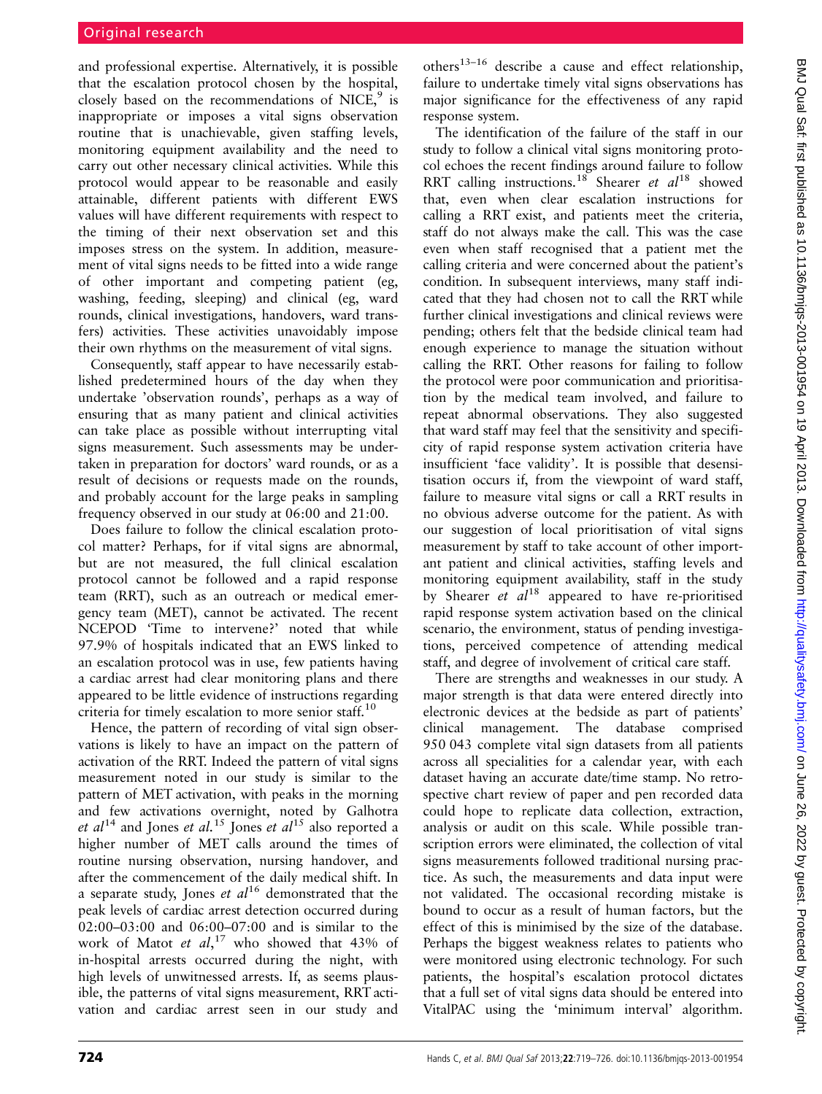and professional expertise. Alternatively, it is possible that the escalation protocol chosen by the hospital, closely based on the recommendations of NICE, $9$  is inappropriate or imposes a vital signs observation routine that is unachievable, given staffing levels, monitoring equipment availability and the need to carry out other necessary clinical activities. While this protocol would appear to be reasonable and easily attainable, different patients with different EWS values will have different requirements with respect to the timing of their next observation set and this imposes stress on the system. In addition, measurement of vital signs needs to be fitted into a wide range of other important and competing patient (eg, washing, feeding, sleeping) and clinical (eg, ward rounds, clinical investigations, handovers, ward transfers) activities. These activities unavoidably impose their own rhythms on the measurement of vital signs.

Consequently, staff appear to have necessarily established predetermined hours of the day when they undertake 'observation rounds', perhaps as a way of ensuring that as many patient and clinical activities can take place as possible without interrupting vital signs measurement. Such assessments may be undertaken in preparation for doctors' ward rounds, or as a result of decisions or requests made on the rounds, and probably account for the large peaks in sampling frequency observed in our study at 06:00 and 21:00.

Does failure to follow the clinical escalation protocol matter? Perhaps, for if vital signs are abnormal, but are not measured, the full clinical escalation protocol cannot be followed and a rapid response team (RRT), such as an outreach or medical emergency team (MET), cannot be activated. The recent NCEPOD 'Time to intervene?' noted that while 97.9% of hospitals indicated that an EWS linked to an escalation protocol was in use, few patients having a cardiac arrest had clear monitoring plans and there appeared to be little evidence of instructions regarding criteria for timely escalation to more senior staff.<sup>10</sup>

Hence, the pattern of recording of vital sign observations is likely to have an impact on the pattern of activation of the RRT. Indeed the pattern of vital signs measurement noted in our study is similar to the pattern of MET activation, with peaks in the morning and few activations overnight, noted by Galhotra et  $al^{14}$  and Jones et al.<sup>15</sup> Jones et al<sup>15</sup> also reported a higher number of MET calls around the times of routine nursing observation, nursing handover, and after the commencement of the daily medical shift. In a separate study, Jones *et al*<sup>16</sup> demonstrated that the peak levels of cardiac arrest detection occurred during 02:00–03:00 and 06:00–07:00 and is similar to the work of Matot et al,<sup>17</sup> who showed that 43% of in-hospital arrests occurred during the night, with high levels of unwitnessed arrests. If, as seems plausible, the patterns of vital signs measurement, RRT activation and cardiac arrest seen in our study and

others<sup>13–16</sup> describe a cause and effect relationship, failure to undertake timely vital signs observations has major significance for the effectiveness of any rapid response system.

The identification of the failure of the staff in our study to follow a clinical vital signs monitoring protocol echoes the recent findings around failure to follow RRT calling instructions.<sup>18</sup> Shearer et  $al^{18}$  showed that, even when clear escalation instructions for calling a RRT exist, and patients meet the criteria, staff do not always make the call. This was the case even when staff recognised that a patient met the calling criteria and were concerned about the patient's condition. In subsequent interviews, many staff indicated that they had chosen not to call the RRT while further clinical investigations and clinical reviews were pending; others felt that the bedside clinical team had enough experience to manage the situation without calling the RRT. Other reasons for failing to follow the protocol were poor communication and prioritisation by the medical team involved, and failure to repeat abnormal observations. They also suggested that ward staff may feel that the sensitivity and specificity of rapid response system activation criteria have insufficient 'face validity'. It is possible that desensitisation occurs if, from the viewpoint of ward staff, failure to measure vital signs or call a RRT results in no obvious adverse outcome for the patient. As with our suggestion of local prioritisation of vital signs measurement by staff to take account of other important patient and clinical activities, staffing levels and monitoring equipment availability, staff in the study by Shearer *et al*<sup>18</sup> appeared to have re-prioritised rapid response system activation based on the clinical scenario, the environment, status of pending investigations, perceived competence of attending medical staff, and degree of involvement of critical care staff.

There are strengths and weaknesses in our study. A major strength is that data were entered directly into electronic devices at the bedside as part of patients' clinical management. The database comprised 950 043 complete vital sign datasets from all patients across all specialities for a calendar year, with each dataset having an accurate date/time stamp. No retrospective chart review of paper and pen recorded data could hope to replicate data collection, extraction, analysis or audit on this scale. While possible transcription errors were eliminated, the collection of vital signs measurements followed traditional nursing practice. As such, the measurements and data input were not validated. The occasional recording mistake is bound to occur as a result of human factors, but the effect of this is minimised by the size of the database. Perhaps the biggest weakness relates to patients who were monitored using electronic technology. For such patients, the hospital's escalation protocol dictates that a full set of vital signs data should be entered into VitalPAC using the 'minimum interval' algorithm.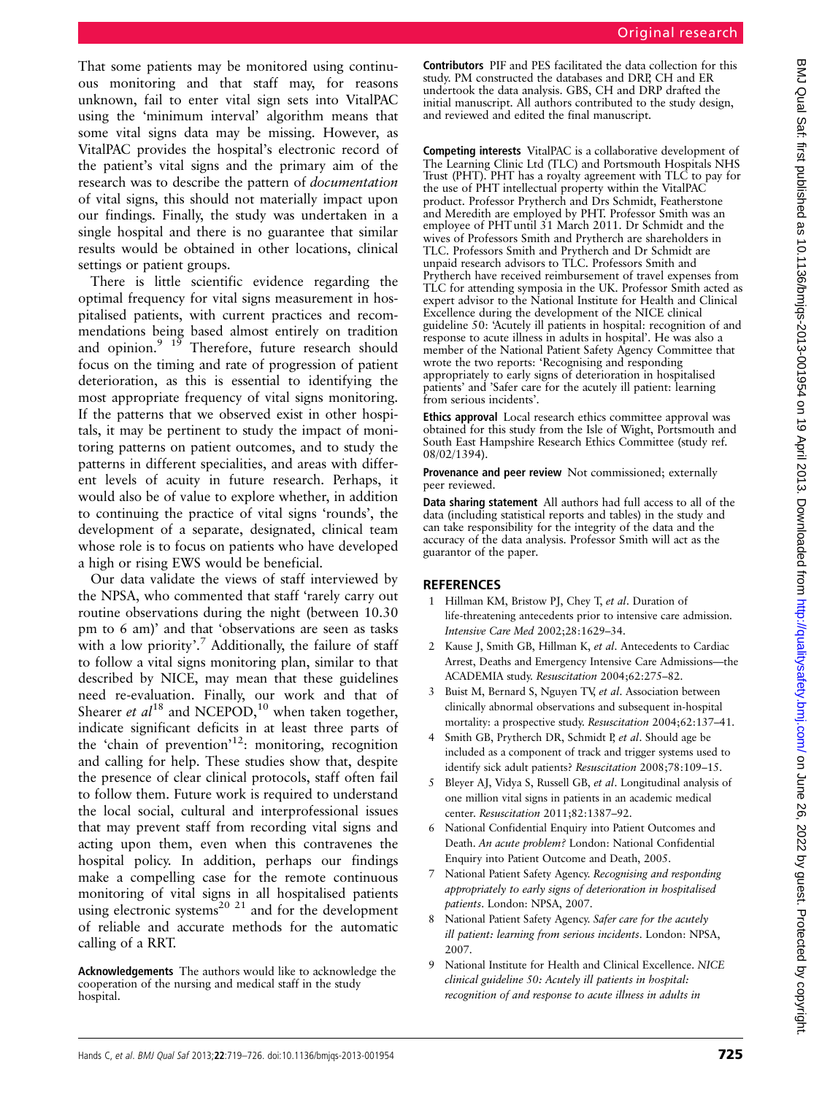That some patients may be monitored using continuous monitoring and that staff may, for reasons unknown, fail to enter vital sign sets into VitalPAC using the 'minimum interval' algorithm means that some vital signs data may be missing. However, as VitalPAC provides the hospital's electronic record of the patient's vital signs and the primary aim of the research was to describe the pattern of documentation of vital signs, this should not materially impact upon our findings. Finally, the study was undertaken in a single hospital and there is no guarantee that similar results would be obtained in other locations, clinical settings or patient groups.

There is little scientific evidence regarding the optimal frequency for vital signs measurement in hospitalised patients, with current practices and recommendations being based almost entirely on tradition and opinion. $9^{19}$  Therefore, future research should focus on the timing and rate of progression of patient deterioration, as this is essential to identifying the most appropriate frequency of vital signs monitoring. If the patterns that we observed exist in other hospitals, it may be pertinent to study the impact of monitoring patterns on patient outcomes, and to study the patterns in different specialities, and areas with different levels of acuity in future research. Perhaps, it would also be of value to explore whether, in addition to continuing the practice of vital signs 'rounds', the development of a separate, designated, clinical team whose role is to focus on patients who have developed a high or rising EWS would be beneficial.

Our data validate the views of staff interviewed by the NPSA, who commented that staff 'rarely carry out routine observations during the night (between 10.30 pm to 6 am)' and that 'observations are seen as tasks with a low priority'.<sup>7</sup> Additionally, the failure of staff to follow a vital signs monitoring plan, similar to that described by NICE, may mean that these guidelines need re-evaluation. Finally, our work and that of Shearer et  $al^{18}$  and NCEPOD,<sup>10</sup> when taken together, indicate significant deficits in at least three parts of the 'chain of prevention' 12: monitoring, recognition and calling for help. These studies show that, despite the presence of clear clinical protocols, staff often fail to follow them. Future work is required to understand the local social, cultural and interprofessional issues that may prevent staff from recording vital signs and acting upon them, even when this contravenes the hospital policy. In addition, perhaps our findings make a compelling case for the remote continuous monitoring of vital signs in all hospitalised patients using electronic systems<sup>20 21</sup> and for the development of reliable and accurate methods for the automatic calling of a RRT.

Acknowledgements The authors would like to acknowledge the cooperation of the nursing and medical staff in the study hospital.

Contributors PIF and PES facilitated the data collection for this study. PM constructed the databases and DRP, CH and ER undertook the data analysis. GBS, CH and DRP drafted the initial manuscript. All authors contributed to the study design, and reviewed and edited the final manuscript.

Competing interests VitalPAC is a collaborative development of The Learning Clinic Ltd (TLC) and Portsmouth Hospitals NHS Trust (PHT). PHT has a royalty agreement with TLC to pay for the use of PHT intellectual property within the VitalPAC product. Professor Prytherch and Drs Schmidt, Featherstone and Meredith are employed by PHT. Professor Smith was an employee of PHT until 31 March 2011. Dr Schmidt and the wives of Professors Smith and Prytherch are shareholders in TLC. Professors Smith and Prytherch and Dr Schmidt are unpaid research advisors to TLC. Professors Smith and Prytherch have received reimbursement of travel expenses from TLC for attending symposia in the UK. Professor Smith acted as expert advisor to the National Institute for Health and Clinical Excellence during the development of the NICE clinical guideline 50: 'Acutely ill patients in hospital: recognition of and response to acute illness in adults in hospital'. He was also a member of the National Patient Safety Agency Committee that wrote the two reports: 'Recognising and responding appropriately to early signs of deterioration in hospitalised patients' and 'Safer care for the acutely ill patient: learning from serious incidents'.

Ethics approval Local research ethics committee approval was obtained for this study from the Isle of Wight, Portsmouth and South East Hampshire Research Ethics Committee (study ref. 08/02/1394).

Provenance and peer review Not commissioned; externally peer reviewed.

Data sharing statement All authors had full access to all of the data (including statistical reports and tables) in the study and can take responsibility for the integrity of the data and the accuracy of the data analysis. Professor Smith will act as the guarantor of the paper.

#### **REFERENCES**

- 1 Hillman KM, Bristow PJ, Chey T, et al. Duration of life-threatening antecedents prior to intensive care admission. Intensive Care Med 2002;28:1629–34.
- 2 Kause J, Smith GB, Hillman K, et al. Antecedents to Cardiac Arrest, Deaths and Emergency Intensive Care Admissions—the ACADEMIA study. Resuscitation 2004;62:275–82.
- Buist M, Bernard S, Nguyen TV, et al. Association between clinically abnormal observations and subsequent in-hospital mortality: a prospective study. Resuscitation 2004;62:137–41.
- Smith GB, Prytherch DR, Schmidt P, et al. Should age be included as a component of track and trigger systems used to identify sick adult patients? Resuscitation 2008;78:109–15.
- 5 Bleyer AJ, Vidya S, Russell GB, et al. Longitudinal analysis of one million vital signs in patients in an academic medical center. Resuscitation 2011;82:1387–92.
- 6 National Confidential Enquiry into Patient Outcomes and Death. An acute problem? London: National Confidential Enquiry into Patient Outcome and Death, 2005.
- 7 National Patient Safety Agency. Recognising and responding appropriately to early signs of deterioration in hospitalised patients. London: NPSA, 2007.
- National Patient Safety Agency. Safer care for the acutely ill patient: learning from serious incidents. London: NPSA, 2007.
- 9 National Institute for Health and Clinical Excellence. NICE clinical guideline 50: Acutely ill patients in hospital: recognition of and response to acute illness in adults in